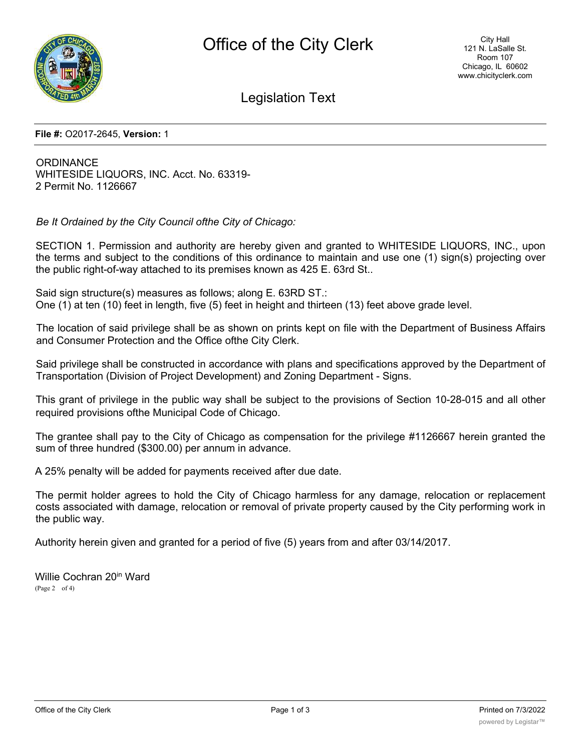

Legislation Text

## **File #:** O2017-2645, **Version:** 1

**ORDINANCE** WHITESIDE LIQUORS, INC. Acct. No. 63319- 2 Permit No. 1126667

*Be It Ordained by the City Council ofthe City of Chicago:*

SECTION 1. Permission and authority are hereby given and granted to WHITESIDE LIQUORS, INC., upon the terms and subject to the conditions of this ordinance to maintain and use one (1) sign(s) projecting over the public right-of-way attached to its premises known as 425 E. 63rd St..

Said sign structure(s) measures as follows; along E. 63RD ST.: One (1) at ten (10) feet in length, five (5) feet in height and thirteen (13) feet above grade level.

The location of said privilege shall be as shown on prints kept on file with the Department of Business Affairs and Consumer Protection and the Office ofthe City Clerk.

Said privilege shall be constructed in accordance with plans and specifications approved by the Department of Transportation (Division of Project Development) and Zoning Department - Signs.

This grant of privilege in the public way shall be subject to the provisions of Section 10-28-015 and all other required provisions ofthe Municipal Code of Chicago.

The grantee shall pay to the City of Chicago as compensation for the privilege #1126667 herein granted the sum of three hundred (\$300.00) per annum in advance.

A 25% penalty will be added for payments received after due date.

The permit holder agrees to hold the City of Chicago harmless for any damage, relocation or replacement costs associated with damage, relocation or removal of private property caused by the City performing work in the public way.

Authority herein given and granted for a period of five (5) years from and after 03/14/2017.

Willie Cochran 20<sup>in</sup> Ward (Page 2 of 4)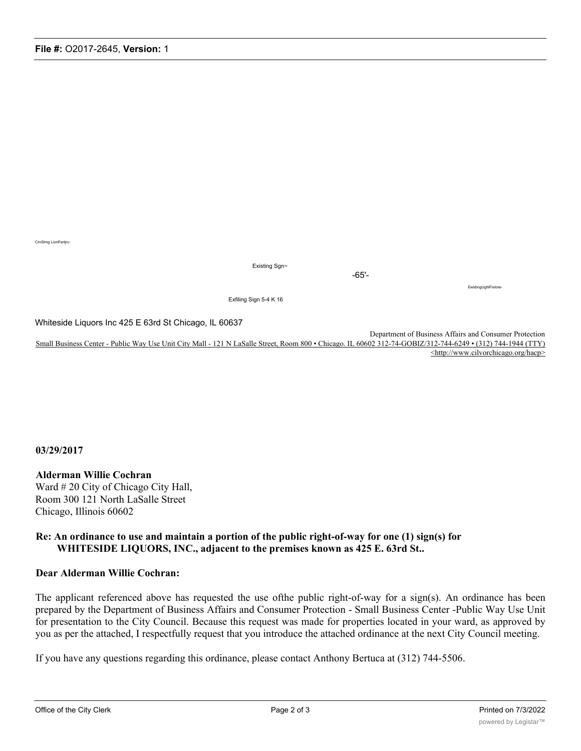CrnSlmg LiortFertjrc-

Existing Sgn~

-65'-

EwsbngUghlFixtore-

Exfiling Sign 5-4 K 16

Whiteside Liquors Inc 425 E 63rd St Chicago, IL 60637

Department of Business Affairs and Consumer Protection Small Business Center - Public Way Use Unit City Mall - 121 N LaSalle Street, Room 800 • Chicago. IL 60602 312-74-GOBIZ/312-744-6249 • (312) 744-1944 (TTY) <http://www.cilvorchicago.org/hacp>

**03/29/2017**

## **Alderman Willie Cochran**

Ward # 20 City of Chicago City Hall, Room 300 121 North LaSalle Street Chicago, Illinois 60602

## **Re: An ordinance to use and maintain a portion of the public right-of-way for one (1) sign(s) for WHITESIDE LIQUORS, INC., adjacent to the premises known as 425 E. 63rd St..**

## **Dear Alderman Willie Cochran:**

The applicant referenced above has requested the use ofthe public right-of-way for a sign(s). An ordinance has been prepared by the Department of Business Affairs and Consumer Protection - Small Business Center -Public Way Use Unit for presentation to the City Council. Because this request was made for properties located in your ward, as approved by you as per the attached, I respectfully request that you introduce the attached ordinance at the next City Council meeting.

If you have any questions regarding this ordinance, please contact Anthony Bertuca at (312) 744-5506.